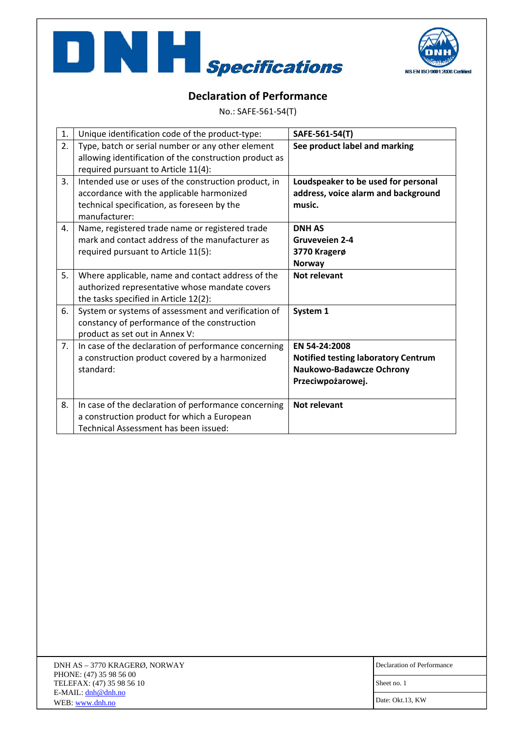



## **Declaration of Performance**

No.: SAFE‐561‐54(T)

| 1. | Unique identification code of the product-type:                                                                                                                   | SAFE-561-54(T)                                                                                               |
|----|-------------------------------------------------------------------------------------------------------------------------------------------------------------------|--------------------------------------------------------------------------------------------------------------|
| 2. | Type, batch or serial number or any other element<br>allowing identification of the construction product as<br>required pursuant to Article 11(4):                | See product label and marking                                                                                |
| 3. | Intended use or uses of the construction product, in<br>accordance with the applicable harmonized<br>technical specification, as foreseen by the<br>manufacturer: | Loudspeaker to be used for personal<br>address, voice alarm and background<br>music.                         |
| 4. | Name, registered trade name or registered trade<br>mark and contact address of the manufacturer as<br>required pursuant to Article 11(5):                         | <b>DNH AS</b><br><b>Gruveveien 2-4</b><br>3770 Kragerø<br><b>Norway</b>                                      |
| 5. | Where applicable, name and contact address of the<br>authorized representative whose mandate covers<br>the tasks specified in Article 12(2):                      | Not relevant                                                                                                 |
| 6. | System or systems of assessment and verification of<br>constancy of performance of the construction<br>product as set out in Annex V:                             | System 1                                                                                                     |
| 7. | In case of the declaration of performance concerning<br>a construction product covered by a harmonized<br>standard:                                               | EN 54-24:2008<br><b>Notified testing laboratory Centrum</b><br>Naukowo-Badawcze Ochrony<br>Przeciwpożarowej. |
| 8. | In case of the declaration of performance concerning<br>a construction product for which a European<br>Technical Assessment has been issued:                      | <b>Not relevant</b>                                                                                          |